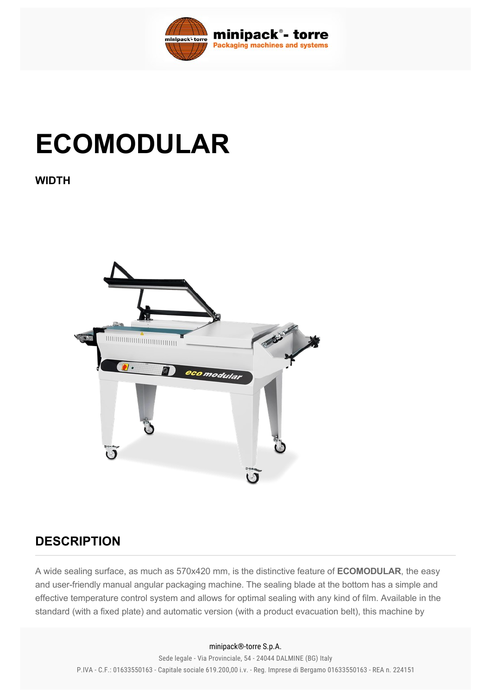

## **ECOMODULAR**

**WIDTH**



## **DESCRIPTION**

A wide sealing surface, as much as 570x420 mm, is the distinctive feature of **ECOMODULAR**, the easy and user-friendly manual angular packaging machine. The sealing blade at the bottom has a simple and effective temperature control system and allows for optimal sealing with any kind of film. Available in the standard (with a fixed plate) and automatic version (with a product evacuation belt), this machine by

## minipack®-torre S.p.A.